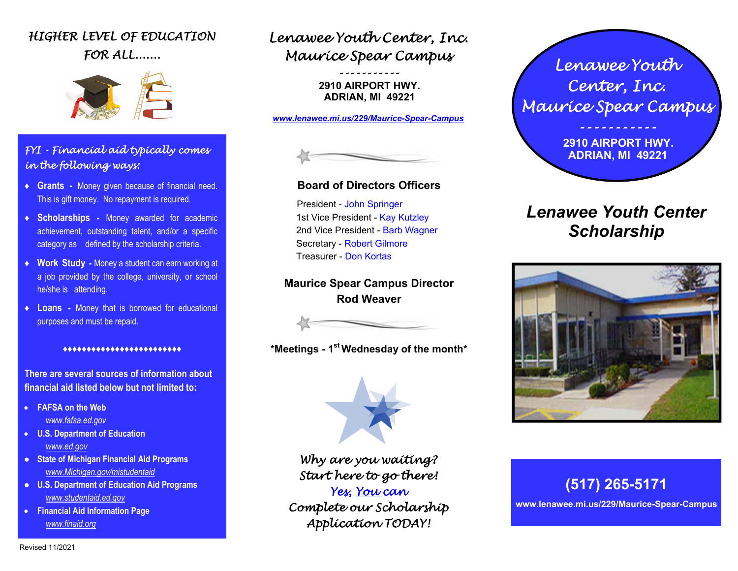## HIGHER LEVEL OF EDUCATION FOR ALL.......



### FYI - Financial aid typically comes in the following ways:

- **♦ Grants** Money given because of financial need. This is gift money. No repayment is required.
- **♦ Scholarships** Money awarded for academic achievement, outstanding talent, and/or a specific category as defined by the scholarship criteria.
- **♦ Work Study** Money a student can earn working at a job provided by the college, university, or school he/she is attending.
- **♦ Loans** Money that is borrowed for educational purposes and must be repaid.

#### ♦♦♦♦♦♦♦♦♦♦♦♦♦♦♦♦♦♦♦♦♦♦♦♦♦

**There are several sources of information about financial aid listed below but not limited to:** 

- **FAFSA on the Web**  *www.fafsa.ed.gov*
- **U.S. Department of Education**  *www.ed.gov*
- **State of Michigan Financial Aid Programs** *www.Michigan.gov/mistudentaid*
- **U.S. Department of Education Aid Programs**  *www.studentaid.ed.gov*
- **Financial Aid Information Page**  *www.finaid.org*

## Lenawee Youth Center, Inc. Maurice Spear Campus

-----------

 **2910 AIRPORT HWY. ADRIAN, MI 49221** 

*www.lenawee.mi.us/229/Maurice-Spear-Campus* 



### **Board of Directors Officers**

President - John Springer 1st Vice President - Kay Kutzley 2nd Vice President - Barb Wagner Secretary - Robert Gilmore Treasurer - Don Kortas

**Maurice Spear Campus Director Rod Weaver** 

**\*Meetings - 1st Wednesday of the month\***



Why are you waiting? Start here to go there!

Yes, You can Complete our Scholarship Application TODAY!

Lenawee Youth Center, Inc. Maurice Spear Campus -----------

> **2910 AIRPORT HWY. ADRIAN, MI 49221**

# *Lenawee Youth Center Scholarship*



# **(517) 265-5171**

**www.lenawee.mi.us/229/Maurice-Spear-Campus**